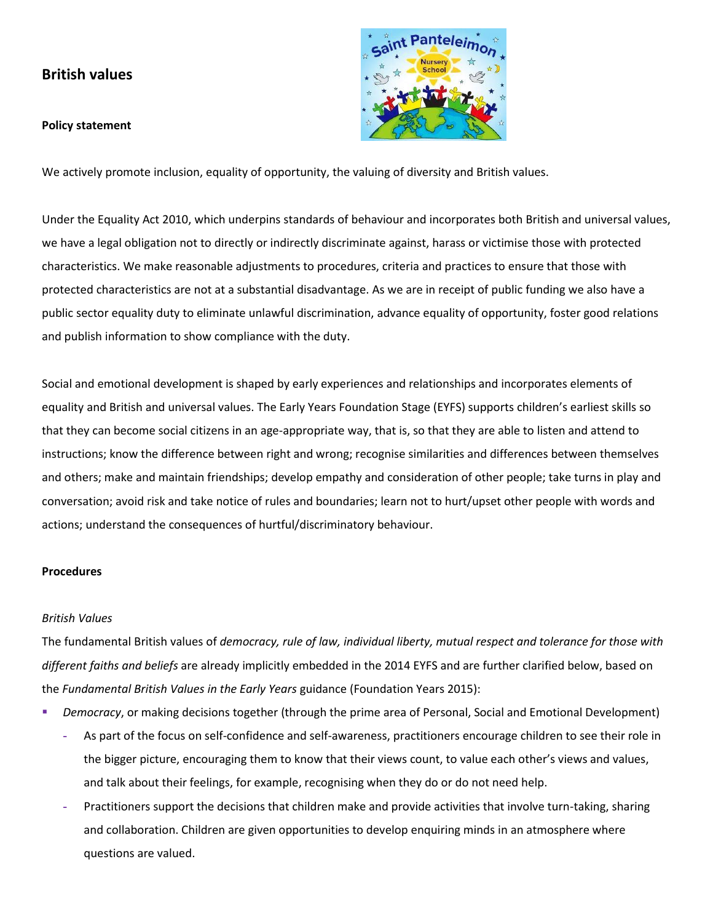# **British values**

## **Policy statement**



We actively promote inclusion, equality of opportunity, the valuing of diversity and British values.

Under the Equality Act 2010, which underpins standards of behaviour and incorporates both British and universal values, we have a legal obligation not to directly or indirectly discriminate against, harass or victimise those with protected characteristics. We make reasonable adjustments to procedures, criteria and practices to ensure that those with protected characteristics are not at a substantial disadvantage. As we are in receipt of public funding we also have a public sector equality duty to eliminate unlawful discrimination, advance equality of opportunity, foster good relations and publish information to show compliance with the duty.

Social and emotional development is shaped by early experiences and relationships and incorporates elements of equality and British and universal values. The Early Years Foundation Stage (EYFS) supports children's earliest skills so that they can become social citizens in an age-appropriate way, that is, so that they are able to listen and attend to instructions; know the difference between right and wrong; recognise similarities and differences between themselves and others; make and maintain friendships; develop empathy and consideration of other people; take turns in play and conversation; avoid risk and take notice of rules and boundaries; learn not to hurt/upset other people with words and actions; understand the consequences of hurtful/discriminatory behaviour.

#### **Procedures**

#### *British Values*

The fundamental British values of *democracy, rule of law, individual liberty, mutual respect and tolerance for those with different faiths and beliefs* are already implicitly embedded in the 2014 EYFS and are further clarified below, based on the *Fundamental British Values in the Early Years* guidance (Foundation Years 2015):

- *Democracy*, or making decisions together (through the prime area of Personal, Social and Emotional Development)
	- **-** As part of the focus on self-confidence and self-awareness, practitioners encourage children to see their role in the bigger picture, encouraging them to know that their views count, to value each other's views and values, and talk about their feelings, for example, recognising when they do or do not need help.
	- **-** Practitioners support the decisions that children make and provide activities that involve turn-taking, sharing and collaboration. Children are given opportunities to develop enquiring minds in an atmosphere where questions are valued.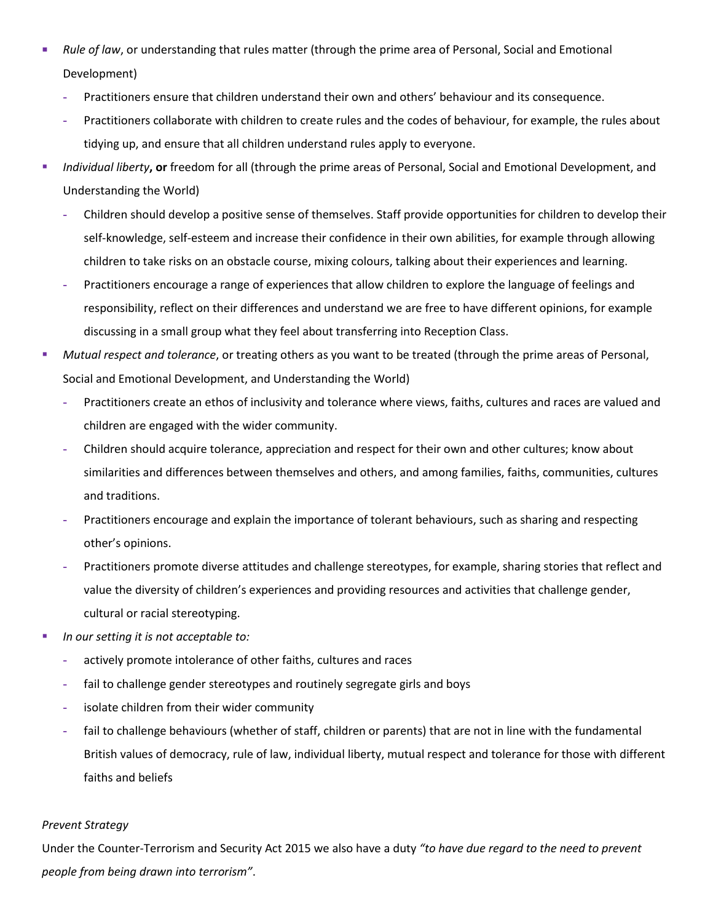- Rule of law, or understanding that rules matter (through the prime area of Personal, Social and Emotional Development)
	- **-** Practitioners ensure that children understand their own and others' behaviour and its consequence.
	- **-** Practitioners collaborate with children to create rules and the codes of behaviour, for example, the rules about tidying up, and ensure that all children understand rules apply to everyone.
- *Individual liberty***, or** freedom for all (through the prime areas of Personal, Social and Emotional Development, and Understanding the World)
	- **-** Children should develop a positive sense of themselves. Staff provide opportunities for children to develop their self-knowledge, self-esteem and increase their confidence in their own abilities, for example through allowing children to take risks on an obstacle course, mixing colours, talking about their experiences and learning.
	- **-** Practitioners encourage a range of experiences that allow children to explore the language of feelings and responsibility, reflect on their differences and understand we are free to have different opinions, for example discussing in a small group what they feel about transferring into Reception Class.
- *Mutual respect and tolerance*, or treating others as you want to be treated (through the prime areas of Personal, Social and Emotional Development, and Understanding the World)
	- **-** Practitioners create an ethos of inclusivity and tolerance where views, faiths, cultures and races are valued and children are engaged with the wider community.
	- **-** Children should acquire tolerance, appreciation and respect for their own and other cultures; know about similarities and differences between themselves and others, and among families, faiths, communities, cultures and traditions.
	- **-** Practitioners encourage and explain the importance of tolerant behaviours, such as sharing and respecting other's opinions.
	- **-** Practitioners promote diverse attitudes and challenge stereotypes, for example, sharing stories that reflect and value the diversity of children's experiences and providing resources and activities that challenge gender, cultural or racial stereotyping.
- *In our setting it is not acceptable to:*
	- **-** actively promote intolerance of other faiths, cultures and races
	- **-** fail to challenge gender stereotypes and routinely segregate girls and boys
	- **-** isolate children from their wider community
	- **-** fail to challenge behaviours (whether of staff, children or parents) that are not in line with the fundamental British values of democracy, rule of law, individual liberty, mutual respect and tolerance for those with different faiths and beliefs

# *Prevent Strategy*

Under the Counter-Terrorism and Security Act 2015 we also have a duty *"to have due regard to the need to prevent people from being drawn into terrorism"*.